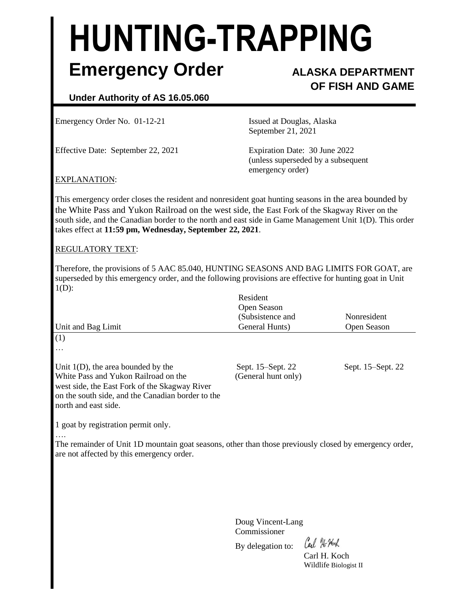# **HUNTING-TRAPPING Emergency Order ALASKA DEPARTMENT**

# **OF FISH AND GAME**

## **Under Authority of AS 16.05.060**

Emergency Order No. 01-12-21 Issued at Douglas, Alaska

Effective Date: September 22, 2021 Expiration Date: 30 June 2022

September 21, 2021

(unless superseded by a subsequent emergency order)

#### EXPLANATION:

This emergency order closes the resident and nonresident goat hunting seasons in the area bounded by the White Pass and Yukon Railroad on the west side, the East Fork of the Skagway River on the south side, and the Canadian border to the north and east side in Game Management Unit 1(D). This order takes effect at **11:59 pm, Wednesday, September 22, 2021**.

#### REGULATORY TEXT:

Therefore, the provisions of 5 AAC 85.040, HUNTING SEASONS AND BAG LIMITS FOR GOAT, are superseded by this emergency order, and the following provisions are effective for hunting goat in Unit  $1(D)$ :

| Unit and Bag Limit                                                                                                                                                                                          | Resident<br>Open Season<br>(Subsistence and<br>General Hunts) | Nonresident<br>Open Season |
|-------------------------------------------------------------------------------------------------------------------------------------------------------------------------------------------------------------|---------------------------------------------------------------|----------------------------|
| (1)                                                                                                                                                                                                         |                                                               |                            |
| $\cdots$                                                                                                                                                                                                    |                                                               |                            |
| Unit $1(D)$ , the area bounded by the<br>White Pass and Yukon Railroad on the<br>west side, the East Fork of the Skagway River<br>on the south side, and the Canadian border to the<br>north and east side. | Sept. 15–Sept. 22<br>(General hunt only)                      | Sept. 15–Sept. 22          |

1 goat by registration permit only.

….

The remainder of Unit 1D mountain goat seasons, other than those previously closed by emergency order, are not affected by this emergency order.

> Doug Vincent-Lang Commissioner

By delegation to:

Cal He Hoch

Carl H. Koch Wildlife Biologist II